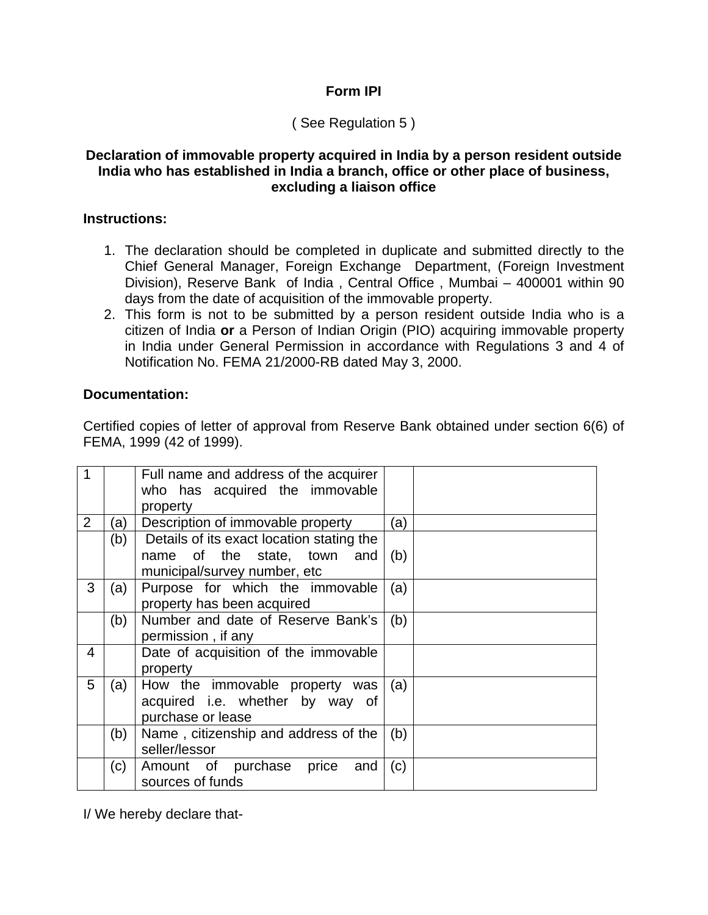## **Form IPI**

# ( See Regulation 5 )

#### **Declaration of immovable property acquired in India by a person resident outside India who has established in India a branch, office or other place of business, excluding a liaison office**

#### **Instructions:**

- 1. The declaration should be completed in duplicate and submitted directly to the Chief General Manager, Foreign Exchange Department, (Foreign Investment Division), Reserve Bank of India , Central Office , Mumbai – 400001 within 90 days from the date of acquisition of the immovable property.
- 2. This form is not to be submitted by a person resident outside India who is a citizen of India **or** a Person of Indian Origin (PIO) acquiring immovable property in India under General Permission in accordance with Regulations 3 and 4 of Notification No. FEMA 21/2000-RB dated May 3, 2000.

### **Documentation:**

Certified copies of letter of approval from Reserve Bank obtained under section 6(6) of FEMA, 1999 (42 of 1999).

| 1              |     | Full name and address of the acquirer<br>who has acquired the immovable<br>property |     |  |
|----------------|-----|-------------------------------------------------------------------------------------|-----|--|
| $\overline{2}$ | (a) | Description of immovable property                                                   | (a) |  |
|                | (b) | Details of its exact location stating the                                           |     |  |
|                |     | name of the state, town and<br>municipal/survey number, etc                         | (b) |  |
|                |     |                                                                                     |     |  |
| 3              | (a) | Purpose for which the immovable<br>property has been acquired                       | (a) |  |
|                | (b) | Number and date of Reserve Bank's                                                   | (b) |  |
|                |     | permission, if any                                                                  |     |  |
| 4              |     | Date of acquisition of the immovable<br>property                                    |     |  |
| 5              | (a) | How the immovable property was                                                      | (a) |  |
|                |     | acquired i.e. whether by way of                                                     |     |  |
|                |     | purchase or lease                                                                   |     |  |
|                | (b) | Name, citizenship and address of the                                                | (b) |  |
|                |     | seller/lessor                                                                       |     |  |
|                | (c) | Amount of purchase<br>price<br>and                                                  | (c) |  |
|                |     | sources of funds                                                                    |     |  |

I/ We hereby declare that-